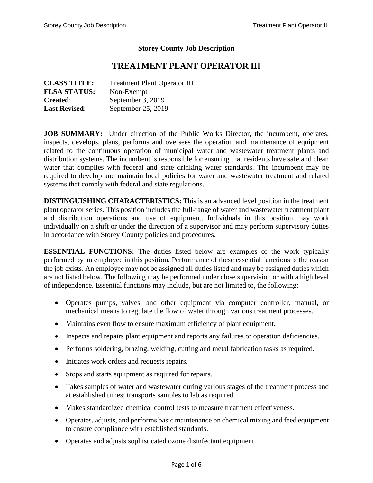## **Storey County Job Description**

# **TREATMENT PLANT OPERATOR III**

| <b>CLASS TITLE:</b>  | <b>Treatment Plant Operator III</b> |
|----------------------|-------------------------------------|
| <b>FLSA STATUS:</b>  | Non-Exempt                          |
| <b>Created:</b>      | September 3, 2019                   |
| <b>Last Revised:</b> | September 25, 2019                  |

**JOB SUMMARY:** Under direction of the Public Works Director, the incumbent, operates, inspects, develops, plans, performs and oversees the operation and maintenance of equipment related to the continuous operation of municipal water and wastewater treatment plants and distribution systems. The incumbent is responsible for ensuring that residents have safe and clean water that complies with federal and state drinking water standards. The incumbent may be required to develop and maintain local policies for water and wastewater treatment and related systems that comply with federal and state regulations.

**DISTINGUISHING CHARACTERISTICS:** This is an advanced level position in the treatment plant operator series. This position includes the full-range of water and wastewater treatment plant and distribution operations and use of equipment. Individuals in this position may work individually on a shift or under the direction of a supervisor and may perform supervisory duties in accordance with Storey County policies and procedures.

**ESSENTIAL FUNCTIONS:** The duties listed below are examples of the work typically performed by an employee in this position. Performance of these essential functions is the reason the job exists. An employee may not be assigned all duties listed and may be assigned duties which are not listed below. The following may be performed under close supervision or with a high level of independence. Essential functions may include, but are not limited to, the following:

- Operates pumps, valves, and other equipment via computer controller, manual, or mechanical means to regulate the flow of water through various treatment processes.
- Maintains even flow to ensure maximum efficiency of plant equipment.
- Inspects and repairs plant equipment and reports any failures or operation deficiencies.
- Performs soldering, brazing, welding, cutting and metal fabrication tasks as required.
- Initiates work orders and requests repairs.
- Stops and starts equipment as required for repairs.
- Takes samples of water and wastewater during various stages of the treatment process and at established times; transports samples to lab as required.
- Makes standardized chemical control tests to measure treatment effectiveness.
- Operates, adjusts, and performs basic maintenance on chemical mixing and feed equipment to ensure compliance with established standards.
- Operates and adjusts sophisticated ozone disinfectant equipment.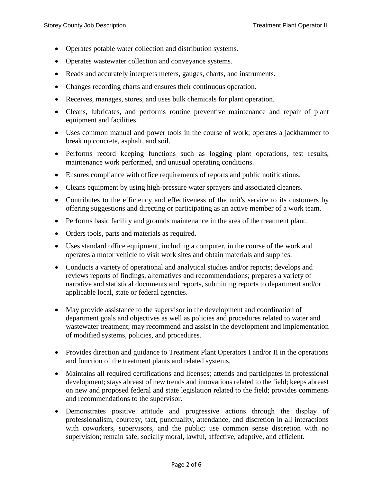- Operates potable water collection and distribution systems.
- Operates wastewater collection and conveyance systems.
- Reads and accurately interprets meters, gauges, charts, and instruments.
- Changes recording charts and ensures their continuous operation.
- Receives, manages, stores, and uses bulk chemicals for plant operation.
- Cleans, lubricates, and performs routine preventive maintenance and repair of plant equipment and facilities.
- Uses common manual and power tools in the course of work; operates a jackhammer to break up concrete, asphalt, and soil.
- Performs record keeping functions such as logging plant operations, test results, maintenance work performed, and unusual operating conditions.
- Ensures compliance with office requirements of reports and public notifications.
- Cleans equipment by using high-pressure water sprayers and associated cleaners.
- Contributes to the efficiency and effectiveness of the unit's service to its customers by offering suggestions and directing or participating as an active member of a work team.
- Performs basic facility and grounds maintenance in the area of the treatment plant.
- Orders tools, parts and materials as required.
- Uses standard office equipment, including a computer, in the course of the work and operates a motor vehicle to visit work sites and obtain materials and supplies.
- Conducts a variety of operational and analytical studies and/or reports; develops and reviews reports of findings, alternatives and recommendations; prepares a variety of narrative and statistical documents and reports, submitting reports to department and/or applicable local, state or federal agencies.
- May provide assistance to the supervisor in the development and coordination of department goals and objectives as well as policies and procedures related to water and wastewater treatment; may recommend and assist in the development and implementation of modified systems, policies, and procedures.
- Provides direction and guidance to Treatment Plant Operators I and/or II in the operations and function of the treatment plants and related systems.
- Maintains all required certifications and licenses; attends and participates in professional development; stays abreast of new trends and innovations related to the field; keeps abreast on new and proposed federal and state legislation related to the field; provides comments and recommendations to the supervisor.
- Demonstrates positive attitude and progressive actions through the display of professionalism, courtesy, tact, punctuality, attendance, and discretion in all interactions with coworkers, supervisors, and the public; use common sense discretion with no supervision; remain safe, socially moral, lawful, affective, adaptive, and efficient.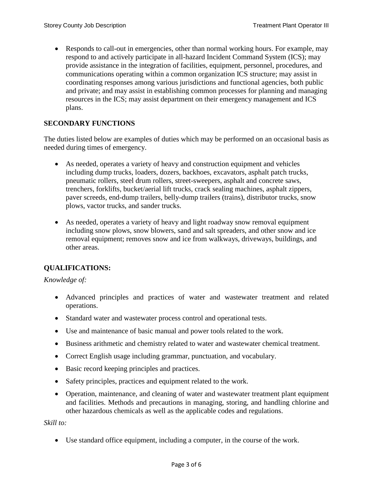Responds to call-out in emergencies, other than normal working hours. For example, may respond to and actively participate in all-hazard Incident Command System (ICS); may provide assistance in the integration of facilities, equipment, personnel, procedures, and communications operating within a common organization ICS structure; may assist in coordinating responses among various jurisdictions and functional agencies, both public and private; and may assist in establishing common processes for planning and managing resources in the ICS; may assist department on their emergency management and ICS plans.

## **SECONDARY FUNCTIONS**

The duties listed below are examples of duties which may be performed on an occasional basis as needed during times of emergency.

- As needed, operates a variety of heavy and construction equipment and vehicles including dump trucks, loaders, dozers, backhoes, excavators, asphalt patch trucks, pneumatic rollers, steel drum rollers, street-sweepers, asphalt and concrete saws, trenchers, forklifts, bucket/aerial lift trucks, crack sealing machines, asphalt zippers, paver screeds, end-dump trailers, belly-dump trailers (trains), distributor trucks, snow plows, vactor trucks, and sander trucks.
- As needed, operates a variety of heavy and light roadway snow removal equipment including snow plows, snow blowers, sand and salt spreaders, and other snow and ice removal equipment; removes snow and ice from walkways, driveways, buildings, and other areas.

# **QUALIFICATIONS:**

#### *Knowledge of:*

- Advanced principles and practices of water and wastewater treatment and related operations.
- Standard water and wastewater process control and operational tests.
- Use and maintenance of basic manual and power tools related to the work.
- Business arithmetic and chemistry related to water and wastewater chemical treatment.
- Correct English usage including grammar, punctuation, and vocabulary.
- Basic record keeping principles and practices.
- Safety principles, practices and equipment related to the work.
- Operation, maintenance, and cleaning of water and wastewater treatment plant equipment and facilities. Methods and precautions in managing, storing, and handling chlorine and other hazardous chemicals as well as the applicable codes and regulations.

#### *Skill to:*

Use standard office equipment, including a computer, in the course of the work.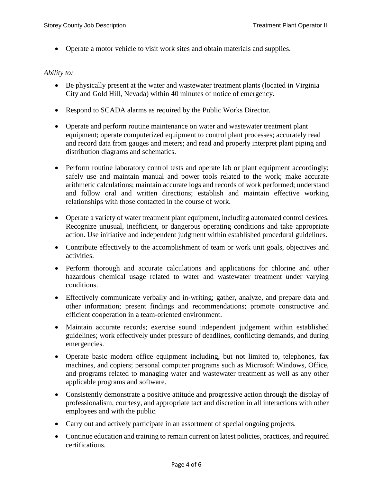Operate a motor vehicle to visit work sites and obtain materials and supplies.

### *Ability to:*

- Be physically present at the water and wastewater treatment plants (located in Virginia City and Gold Hill, Nevada) within 40 minutes of notice of emergency.
- Respond to SCADA alarms as required by the Public Works Director.
- Operate and perform routine maintenance on water and wastewater treatment plant equipment; operate computerized equipment to control plant processes; accurately read and record data from gauges and meters; and read and properly interpret plant piping and distribution diagrams and schematics.
- Perform routine laboratory control tests and operate lab or plant equipment accordingly; safely use and maintain manual and power tools related to the work; make accurate arithmetic calculations; maintain accurate logs and records of work performed; understand and follow oral and written directions; establish and maintain effective working relationships with those contacted in the course of work.
- Operate a variety of water treatment plant equipment, including automated control devices. Recognize unusual, inefficient, or dangerous operating conditions and take appropriate action. Use initiative and independent judgment within established procedural guidelines.
- Contribute effectively to the accomplishment of team or work unit goals, objectives and activities.
- Perform thorough and accurate calculations and applications for chlorine and other hazardous chemical usage related to water and wastewater treatment under varying conditions.
- Effectively communicate verbally and in-writing; gather, analyze, and prepare data and other information; present findings and recommendations; promote constructive and efficient cooperation in a team-oriented environment.
- Maintain accurate records; exercise sound independent judgement within established guidelines; work effectively under pressure of deadlines, conflicting demands, and during emergencies.
- Operate basic modern office equipment including, but not limited to, telephones, fax machines, and copiers; personal computer programs such as Microsoft Windows, Office, and programs related to managing water and wastewater treatment as well as any other applicable programs and software.
- Consistently demonstrate a positive attitude and progressive action through the display of professionalism, courtesy, and appropriate tact and discretion in all interactions with other employees and with the public.
- Carry out and actively participate in an assortment of special ongoing projects.
- Continue education and training to remain current on latest policies, practices, and required certifications.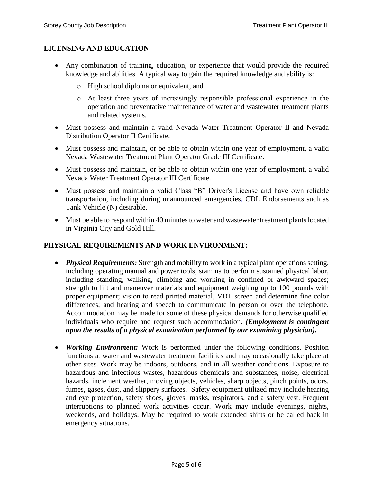## **LICENSING AND EDUCATION**

- Any combination of training, education, or experience that would provide the required knowledge and abilities. A typical way to gain the required knowledge and ability is:
	- o High school diploma or equivalent, and
	- o At least three years of increasingly responsible professional experience in the operation and preventative maintenance of water and wastewater treatment plants and related systems.
- Must possess and maintain a valid Nevada Water Treatment Operator II and Nevada Distribution Operator II Certificate.
- Must possess and maintain, or be able to obtain within one year of employment, a valid Nevada Wastewater Treatment Plant Operator Grade III Certificate.
- Must possess and maintain, or be able to obtain within one year of employment, a valid Nevada Water Treatment Operator III Certificate.
- Must possess and maintain a valid Class "B" Driver's License and have own reliable transportation, including during unannounced emergencies. CDL Endorsements such as Tank Vehicle (N) desirable.
- Must be able to respond within 40 minutes to water and wastewater treatment plants located in Virginia City and Gold Hill.

## **PHYSICAL REQUIREMENTS AND WORK ENVIRONMENT:**

- *Physical Requirements:* Strength and mobility to work in a typical plant operations setting, including operating manual and power tools; stamina to perform sustained physical labor, including standing, walking, climbing and working in confined or awkward spaces; strength to lift and maneuver materials and equipment weighing up to 100 pounds with proper equipment; vision to read printed material, VDT screen and determine fine color differences; and hearing and speech to communicate in person or over the telephone. Accommodation may be made for some of these physical demands for otherwise qualified individuals who require and request such accommodation. *(Employment is contingent upon the results of a physical examination performed by our examining physician).*
- *Working Environment:* Work is performed under the following conditions. Position functions at water and wastewater treatment facilities and may occasionally take place at other sites. Work may be indoors, outdoors, and in all weather conditions. Exposure to hazardous and infectious wastes, hazardous chemicals and substances, noise, electrical hazards, inclement weather, moving objects, vehicles, sharp objects, pinch points, odors, fumes, gases, dust, and slippery surfaces. Safety equipment utilized may include hearing and eye protection, safety shoes, gloves, masks, respirators, and a safety vest. Frequent interruptions to planned work activities occur. Work may include evenings, nights, weekends, and holidays. May be required to work extended shifts or be called back in emergency situations.